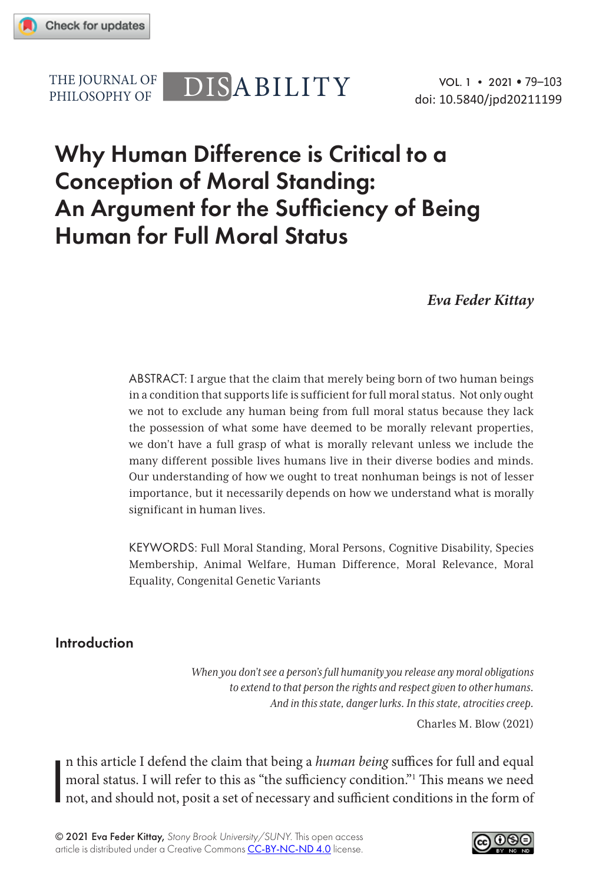

PHILOSOPHY OF

# THE JOURNAL OF DISABILITY

# Why Human Difference is Critical to a Conception of Moral Standing: An Argument for the Sufficiency of Being Human for Full Moral Status

*Eva Feder Kittay*

ABSTRACT: I argue that the claim that merely being born of two human beings in a condition that supports life is sufficient for full moral status. Not only ought we not to exclude any human being from full moral status because they lack the possession of what some have deemed to be morally relevant properties, we don't have a full grasp of what is morally relevant unless we include the many different possible lives humans live in their diverse bodies and minds. Our understanding of how we ought to treat nonhuman beings is not of lesser importance, but it necessarily depends on how we understand what is morally significant in human lives.

KEYWORDS: Full Moral Standing, Moral Persons, Cognitive Disability, Species Membership, Animal Welfare, Human Difference, Moral Relevance, Moral Equality, Congenital Genetic Variants

### Introduction

*When you don't see a person's full humanity you release any moral obligations to extend to that person the rights and respect given to other humans. And in this state, danger lurks. In this state, atrocities creep.*

Charles M. Blow (2021)

I n this article I defend the claim that being a *human being* suffices for full and equal moral status. I will refer to this as "the sufficiency condition."1 This means we need not, and should not, posit a set of necessary and sufficient conditions in the form of

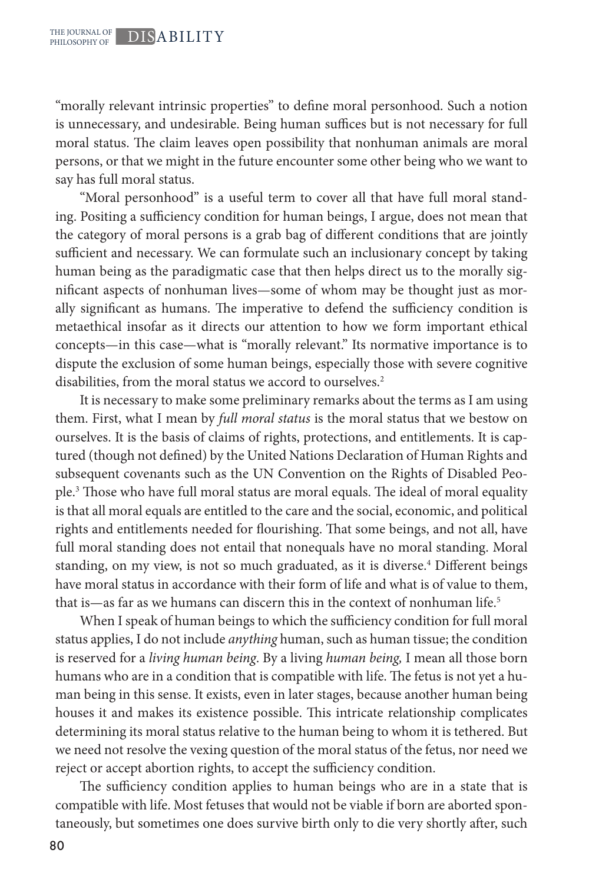"morally relevant intrinsic properties" to define moral personhood. Such a notion is unnecessary, and undesirable. Being human suffices but is not necessary for full moral status. The claim leaves open possibility that nonhuman animals are moral persons, or that we might in the future encounter some other being who we want to say has full moral status.

"Moral personhood" is a useful term to cover all that have full moral standing. Positing a sufficiency condition for human beings, I argue, does not mean that the category of moral persons is a grab bag of different conditions that are jointly sufficient and necessary. We can formulate such an inclusionary concept by taking human being as the paradigmatic case that then helps direct us to the morally significant aspects of nonhuman lives—some of whom may be thought just as morally significant as humans. The imperative to defend the sufficiency condition is metaethical insofar as it directs our attention to how we form important ethical concepts—in this case—what is "morally relevant." Its normative importance is to dispute the exclusion of some human beings, especially those with severe cognitive disabilities, from the moral status we accord to ourselves.<sup>2</sup>

It is necessary to make some preliminary remarks about the terms as I am using them. First, what I mean by *full moral status* is the moral status that we bestow on ourselves. It is the basis of claims of rights, protections, and entitlements. It is captured (though not defined) by the United Nations Declaration of Human Rights and subsequent covenants such as the UN Convention on the Rights of Disabled People.3 Those who have full moral status are moral equals. The ideal of moral equality is that all moral equals are entitled to the care and the social, economic, and political rights and entitlements needed for flourishing. That some beings, and not all, have full moral standing does not entail that nonequals have no moral standing. Moral standing, on my view, is not so much graduated, as it is diverse.<sup>4</sup> Different beings have moral status in accordance with their form of life and what is of value to them, that is—as far as we humans can discern this in the context of nonhuman life.<sup>5</sup>

When I speak of human beings to which the sufficiency condition for full moral status applies, I do not include *anything* human, such as human tissue; the condition is reserved for a *living human being*. By a living *human being,* I mean all those born humans who are in a condition that is compatible with life. The fetus is not yet a human being in this sense. It exists, even in later stages, because another human being houses it and makes its existence possible. This intricate relationship complicates determining its moral status relative to the human being to whom it is tethered. But we need not resolve the vexing question of the moral status of the fetus, nor need we reject or accept abortion rights, to accept the sufficiency condition.

The sufficiency condition applies to human beings who are in a state that is compatible with life. Most fetuses that would not be viable if born are aborted spontaneously, but sometimes one does survive birth only to die very shortly after, such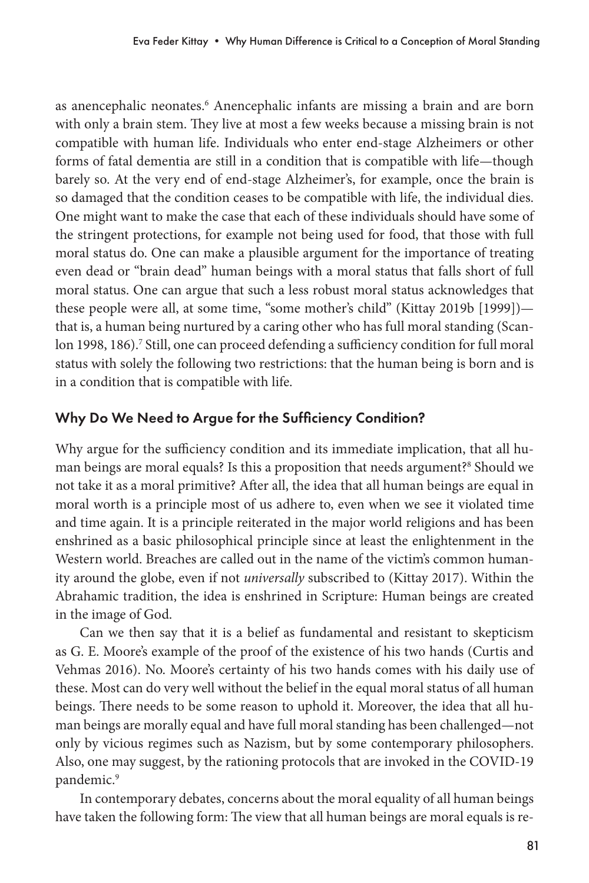as anencephalic neonates.<sup>6</sup> Anencephalic infants are missing a brain and are born with only a brain stem. They live at most a few weeks because a missing brain is not compatible with human life. Individuals who enter end-stage Alzheimers or other forms of fatal dementia are still in a condition that is compatible with life—though barely so. At the very end of end-stage Alzheimer's, for example, once the brain is so damaged that the condition ceases to be compatible with life, the individual dies. One might want to make the case that each of these individuals should have some of the stringent protections, for example not being used for food, that those with full moral status do. One can make a plausible argument for the importance of treating even dead or "brain dead" human beings with a moral status that falls short of full moral status. One can argue that such a less robust moral status acknowledges that these people were all, at some time, "some mother's child" (Kittay 2019b [1999]) that is, a human being nurtured by a caring other who has full moral standing (Scanlon 1998, 186).<sup>7</sup> Still, one can proceed defending a sufficiency condition for full moral status with solely the following two restrictions: that the human being is born and is in a condition that is compatible with life.

## Why Do We Need to Argue for the Sufficiency Condition?

Why argue for the sufficiency condition and its immediate implication, that all human beings are moral equals? Is this a proposition that needs argument?<sup>8</sup> Should we not take it as a moral primitive? After all, the idea that all human beings are equal in moral worth is a principle most of us adhere to, even when we see it violated time and time again. It is a principle reiterated in the major world religions and has been enshrined as a basic philosophical principle since at least the enlightenment in the Western world. Breaches are called out in the name of the victim's common humanity around the globe, even if not *universally* subscribed to (Kittay 2017). Within the Abrahamic tradition, the idea is enshrined in Scripture: Human beings are created in the image of God.

Can we then say that it is a belief as fundamental and resistant to skepticism as G. E. Moore's example of the proof of the existence of his two hands (Curtis and Vehmas 2016). No. Moore's certainty of his two hands comes with his daily use of these. Most can do very well without the belief in the equal moral status of all human beings. There needs to be some reason to uphold it. Moreover, the idea that all human beings are morally equal and have full moral standing has been challenged—not only by vicious regimes such as Nazism, but by some contemporary philosophers. Also, one may suggest, by the rationing protocols that are invoked in the COVID-19 pandemic.9

In contemporary debates, concerns about the moral equality of all human beings have taken the following form: The view that all human beings are moral equals is re-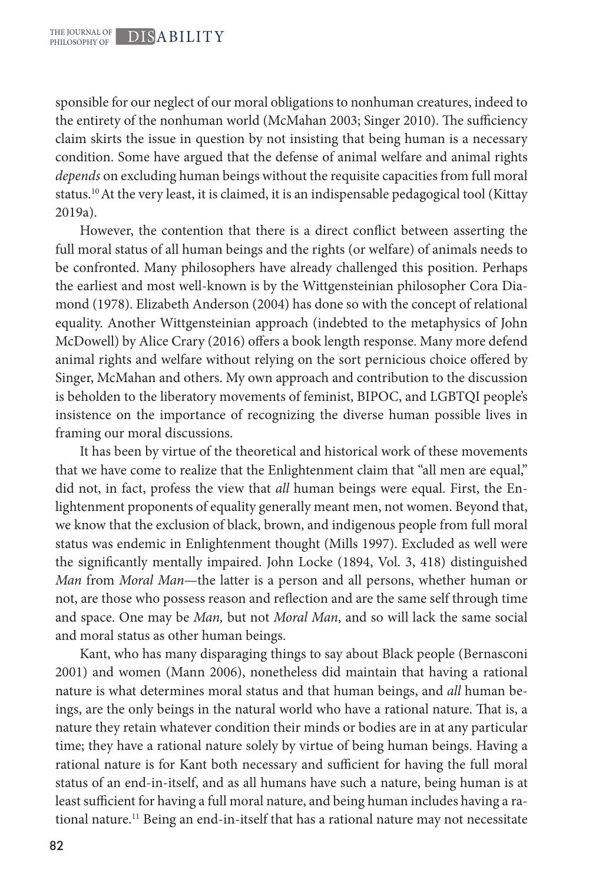sponsible for our neglect of our moral obligations to nonhuman creatures, indeed to the entirety of the nonhuman world (McMahan 2003; Singer 2010). The sufficiency claim skirts the issue in question by not insisting that being human is a necessary condition. Some have argued that the defense of animal welfare and animal rights *depends* on excluding human beings without the requisite capacities from full moral status.<sup>10</sup> At the very least, it is claimed, it is an indispensable pedagogical tool (Kittay 2019a).

However, the contention that there is a direct conflict between asserting the full moral status of all human beings and the rights (or welfare) of animals needs to be confronted. Many philosophers have already challenged this position. Perhaps the earliest and most well-known is by the Wittgensteinian philosopher Cora Diamond (1978). Elizabeth Anderson (2004) has done so with the concept of relational equality. Another Wittgensteinian approach (indebted to the metaphysics of John McDowell) by Alice Crary (2016) offers a book length response. Many more defend animal rights and welfare without relying on the sort pernicious choice offered by Singer, McMahan and others. My own approach and contribution to the discussion is beholden to the liberatory movements of feminist, BIPOC, and LGBTQI people's insistence on the importance of recognizing the diverse human possible lives in framing our moral discussions.

It has been by virtue of the theoretical and historical work of these movements that we have come to realize that the Enlightenment claim that "all men are equal," did not, in fact, profess the view that *all* human beings were equal. First, the Enlightenment proponents of equality generally meant men, not women. Beyond that, we know that the exclusion of black, brown, and indigenous people from full moral status was endemic in Enlightenment thought (Mills 1997). Excluded as well were the significantly mentally impaired. John Locke (1894, Vol. 3, 418) distinguished *Man* from *Moral Man*—the latter is a person and all persons, whether human or not, are those who possess reason and reflection and are the same self through time and space. One may be *Man,* but not *Moral Man*, and so will lack the same social and moral status as other human beings.

Kant, who has many disparaging things to say about Black people (Bernasconi 2001) and women (Mann 2006), nonetheless did maintain that having a rational nature is what determines moral status and that human beings, and *all* human beings, are the only beings in the natural world who have a rational nature. That is, a nature they retain whatever condition their minds or bodies are in at any particular time; they have a rational nature solely by virtue of being human beings. Having a rational nature is for Kant both necessary and sufficient for having the full moral status of an end-in-itself, and as all humans have such a nature, being human is at least sufficient for having a full moral nature, and being human includes having a rational nature.<sup>11</sup> Being an end-in-itself that has a rational nature may not necessitate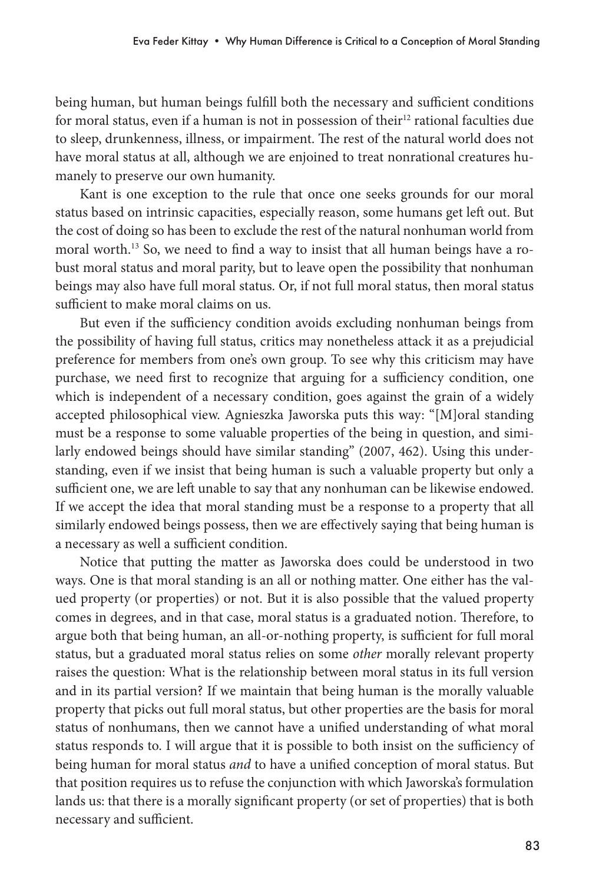being human, but human beings fulfill both the necessary and sufficient conditions for moral status, even if a human is not in possession of their<sup>12</sup> rational faculties due to sleep, drunkenness, illness, or impairment. The rest of the natural world does not have moral status at all, although we are enjoined to treat nonrational creatures humanely to preserve our own humanity.

Kant is one exception to the rule that once one seeks grounds for our moral status based on intrinsic capacities, especially reason, some humans get left out. But the cost of doing so has been to exclude the rest of the natural nonhuman world from moral worth.13 So, we need to find a way to insist that all human beings have a robust moral status and moral parity, but to leave open the possibility that nonhuman beings may also have full moral status. Or, if not full moral status, then moral status sufficient to make moral claims on us.

But even if the sufficiency condition avoids excluding nonhuman beings from the possibility of having full status, critics may nonetheless attack it as a prejudicial preference for members from one's own group. To see why this criticism may have purchase, we need first to recognize that arguing for a sufficiency condition, one which is independent of a necessary condition, goes against the grain of a widely accepted philosophical view. Agnieszka Jaworska puts this way: "[M]oral standing must be a response to some valuable properties of the being in question, and similarly endowed beings should have similar standing" (2007, 462). Using this understanding, even if we insist that being human is such a valuable property but only a sufficient one, we are left unable to say that any nonhuman can be likewise endowed. If we accept the idea that moral standing must be a response to a property that all similarly endowed beings possess, then we are effectively saying that being human is a necessary as well a sufficient condition.

Notice that putting the matter as Jaworska does could be understood in two ways. One is that moral standing is an all or nothing matter. One either has the valued property (or properties) or not. But it is also possible that the valued property comes in degrees, and in that case, moral status is a graduated notion. Therefore, to argue both that being human, an all-or-nothing property, is sufficient for full moral status, but a graduated moral status relies on some *other* morally relevant property raises the question: What is the relationship between moral status in its full version and in its partial version? If we maintain that being human is the morally valuable property that picks out full moral status, but other properties are the basis for moral status of nonhumans, then we cannot have a unified understanding of what moral status responds to. I will argue that it is possible to both insist on the sufficiency of being human for moral status *and* to have a unified conception of moral status. But that position requires us to refuse the conjunction with which Jaworska's formulation lands us: that there is a morally significant property (or set of properties) that is both necessary and sufficient.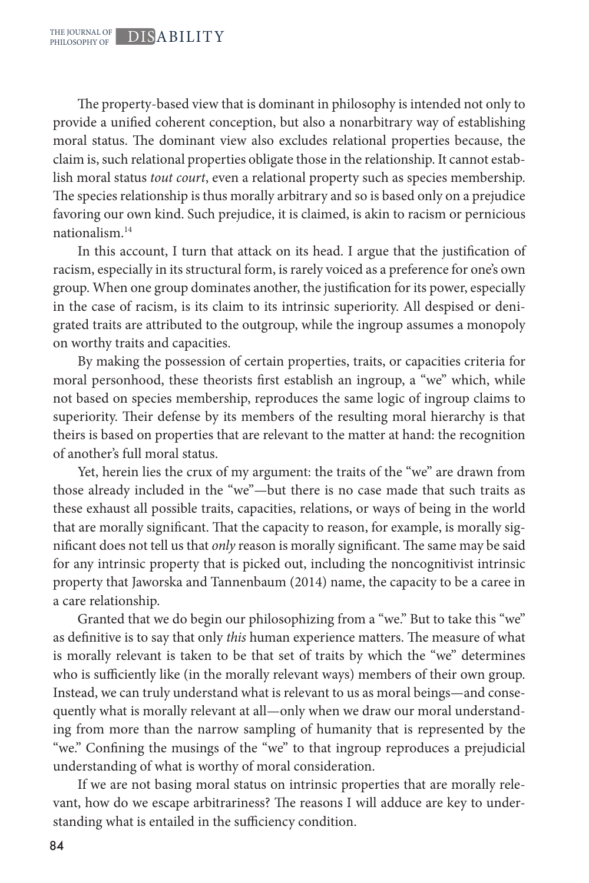The property-based view that is dominant in philosophy is intended not only to provide a unified coherent conception, but also a nonarbitrary way of establishing moral status. The dominant view also excludes relational properties because, the claim is, such relational properties obligate those in the relationship. It cannot establish moral status *tout court*, even a relational property such as species membership. The species relationship is thus morally arbitrary and so is based only on a prejudice favoring our own kind. Such prejudice, it is claimed, is akin to racism or pernicious nationalism.14

In this account, I turn that attack on its head. I argue that the justification of racism, especially in its structural form, is rarely voiced as a preference for one's own group. When one group dominates another, the justification for its power, especially in the case of racism, is its claim to its intrinsic superiority. All despised or denigrated traits are attributed to the outgroup, while the ingroup assumes a monopoly on worthy traits and capacities.

By making the possession of certain properties, traits, or capacities criteria for moral personhood, these theorists first establish an ingroup, a "we" which, while not based on species membership, reproduces the same logic of ingroup claims to superiority. Their defense by its members of the resulting moral hierarchy is that theirs is based on properties that are relevant to the matter at hand: the recognition of another's full moral status.

Yet, herein lies the crux of my argument: the traits of the "we" are drawn from those already included in the "we"—but there is no case made that such traits as these exhaust all possible traits, capacities, relations, or ways of being in the world that are morally significant. That the capacity to reason, for example, is morally significant does not tell us that *only* reason is morally significant. The same may be said for any intrinsic property that is picked out, including the noncognitivist intrinsic property that Jaworska and Tannenbaum (2014) name, the capacity to be a caree in a care relationship.

Granted that we do begin our philosophizing from a "we." But to take this "we" as definitive is to say that only *this* human experience matters. The measure of what is morally relevant is taken to be that set of traits by which the "we" determines who is sufficiently like (in the morally relevant ways) members of their own group. Instead, we can truly understand what is relevant to us as moral beings—and consequently what is morally relevant at all—only when we draw our moral understanding from more than the narrow sampling of humanity that is represented by the "we." Confining the musings of the "we" to that ingroup reproduces a prejudicial understanding of what is worthy of moral consideration.

If we are not basing moral status on intrinsic properties that are morally relevant, how do we escape arbitrariness? The reasons I will adduce are key to understanding what is entailed in the sufficiency condition.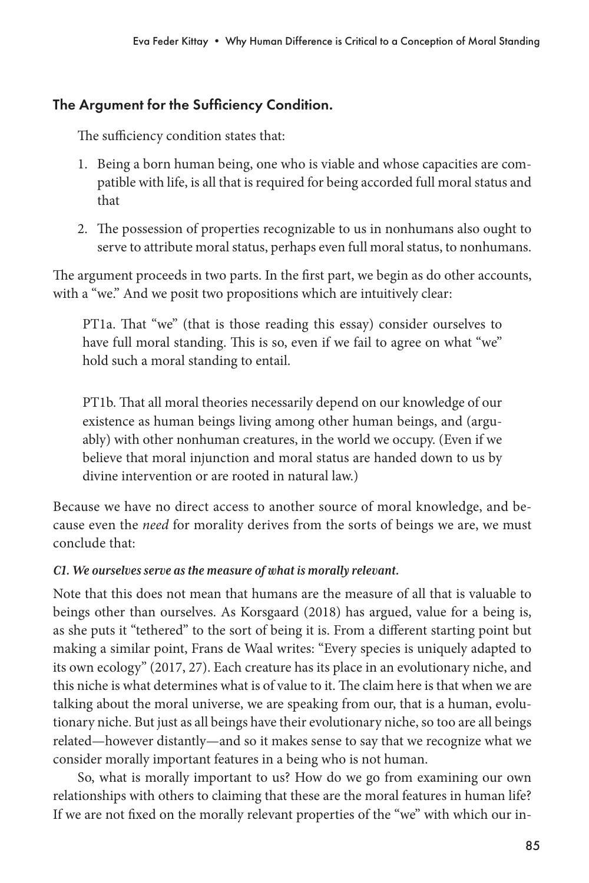## The Argument for the Sufficiency Condition.

The sufficiency condition states that:

- 1. Being a born human being, one who is viable and whose capacities are compatible with life, is all that is required for being accorded full moral status and that
- 2. The possession of properties recognizable to us in nonhumans also ought to serve to attribute moral status, perhaps even full moral status, to nonhumans.

The argument proceeds in two parts. In the first part, we begin as do other accounts, with a "we." And we posit two propositions which are intuitively clear:

PT1a. That "we" (that is those reading this essay) consider ourselves to have full moral standing. This is so, even if we fail to agree on what "we" hold such a moral standing to entail.

PT1b. That all moral theories necessarily depend on our knowledge of our existence as human beings living among other human beings, and (arguably) with other nonhuman creatures, in the world we occupy. (Even if we believe that moral injunction and moral status are handed down to us by divine intervention or are rooted in natural law.)

Because we have no direct access to another source of moral knowledge, and because even the *need* for morality derives from the sorts of beings we are, we must conclude that:

## *C1. We ourselves serve as the measure of what is morally relevant.*

Note that this does not mean that humans are the measure of all that is valuable to beings other than ourselves. As Korsgaard (2018) has argued, value for a being is, as she puts it "tethered" to the sort of being it is. From a different starting point but making a similar point, Frans de Waal writes: "Every species is uniquely adapted to its own ecology" (2017, 27). Each creature has its place in an evolutionary niche, and this niche is what determines what is of value to it. The claim here is that when we are talking about the moral universe, we are speaking from our, that is a human, evolutionary niche. But just as all beings have their evolutionary niche, so too are all beings related—however distantly—and so it makes sense to say that we recognize what we consider morally important features in a being who is not human.

So, what is morally important to us? How do we go from examining our own relationships with others to claiming that these are the moral features in human life? If we are not fixed on the morally relevant properties of the "we" with which our in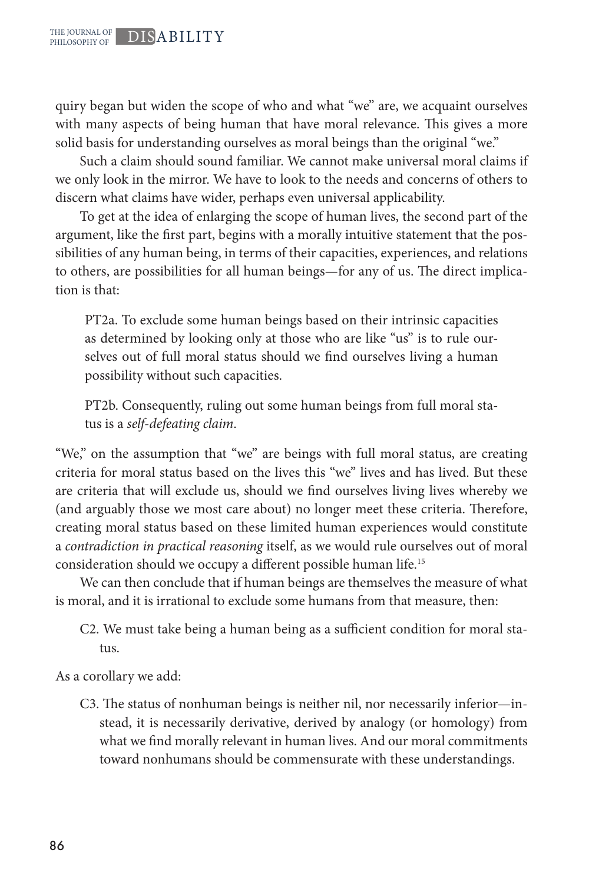quiry began but widen the scope of who and what "we" are, we acquaint ourselves with many aspects of being human that have moral relevance. This gives a more solid basis for understanding ourselves as moral beings than the original "we."

Such a claim should sound familiar. We cannot make universal moral claims if we only look in the mirror. We have to look to the needs and concerns of others to discern what claims have wider, perhaps even universal applicability.

To get at the idea of enlarging the scope of human lives, the second part of the argument, like the first part, begins with a morally intuitive statement that the possibilities of any human being, in terms of their capacities, experiences, and relations to others, are possibilities for all human beings—for any of us. The direct implication is that:

PT2a. To exclude some human beings based on their intrinsic capacities as determined by looking only at those who are like "us" is to rule ourselves out of full moral status should we find ourselves living a human possibility without such capacities.

PT2b. Consequently, ruling out some human beings from full moral status is a *self-defeating claim*.

"We," on the assumption that "we" are beings with full moral status, are creating criteria for moral status based on the lives this "we" lives and has lived. But these are criteria that will exclude us, should we find ourselves living lives whereby we (and arguably those we most care about) no longer meet these criteria. Therefore, creating moral status based on these limited human experiences would constitute a *contradiction in practical reasoning* itself, as we would rule ourselves out of moral consideration should we occupy a different possible human life.15

We can then conclude that if human beings are themselves the measure of what is moral, and it is irrational to exclude some humans from that measure, then:

C2. We must take being a human being as a sufficient condition for moral status.

As a corollary we add:

C3. The status of nonhuman beings is neither nil, nor necessarily inferior—instead, it is necessarily derivative, derived by analogy (or homology) from what we find morally relevant in human lives. And our moral commitments toward nonhumans should be commensurate with these understandings.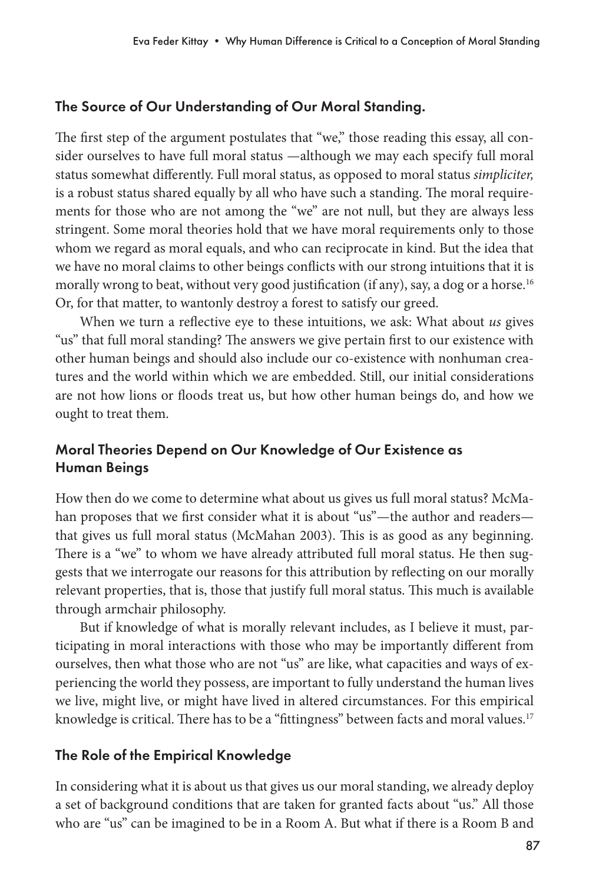## The Source of Our Understanding of Our Moral Standing.

The first step of the argument postulates that "we," those reading this essay, all consider ourselves to have full moral status —although we may each specify full moral status somewhat differently. Full moral status, as opposed to moral status *simpliciter,*  is a robust status shared equally by all who have such a standing. The moral requirements for those who are not among the "we" are not null, but they are always less stringent. Some moral theories hold that we have moral requirements only to those whom we regard as moral equals, and who can reciprocate in kind. But the idea that we have no moral claims to other beings conflicts with our strong intuitions that it is morally wrong to beat, without very good justification (if any), say, a dog or a horse.<sup>16</sup> Or, for that matter, to wantonly destroy a forest to satisfy our greed.

When we turn a reflective eye to these intuitions, we ask: What about *us* gives "us" that full moral standing? The answers we give pertain first to our existence with other human beings and should also include our co-existence with nonhuman creatures and the world within which we are embedded. Still, our initial considerations are not how lions or floods treat us, but how other human beings do, and how we ought to treat them.

## Moral Theories Depend on Our Knowledge of Our Existence as Human Beings

How then do we come to determine what about us gives us full moral status? McMahan proposes that we first consider what it is about "us"—the author and readers that gives us full moral status (McMahan 2003). This is as good as any beginning. There is a "we" to whom we have already attributed full moral status. He then suggests that we interrogate our reasons for this attribution by reflecting on our morally relevant properties, that is, those that justify full moral status. This much is available through armchair philosophy.

But if knowledge of what is morally relevant includes, as I believe it must, participating in moral interactions with those who may be importantly different from ourselves, then what those who are not "us" are like, what capacities and ways of experiencing the world they possess, are important to fully understand the human lives we live, might live, or might have lived in altered circumstances. For this empirical knowledge is critical. There has to be a "fittingness" between facts and moral values.<sup>17</sup>

## The Role of the Empirical Knowledge

In considering what it is about us that gives us our moral standing, we already deploy a set of background conditions that are taken for granted facts about "us." All those who are "us" can be imagined to be in a Room A. But what if there is a Room B and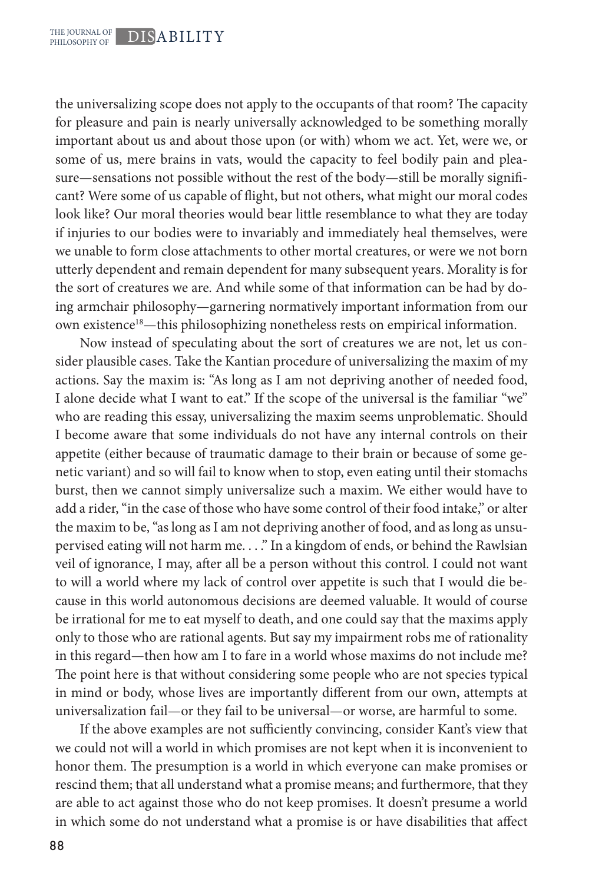the universalizing scope does not apply to the occupants of that room? The capacity for pleasure and pain is nearly universally acknowledged to be something morally important about us and about those upon (or with) whom we act. Yet, were we, or some of us, mere brains in vats, would the capacity to feel bodily pain and pleasure—sensations not possible without the rest of the body—still be morally significant? Were some of us capable of flight, but not others, what might our moral codes look like? Our moral theories would bear little resemblance to what they are today if injuries to our bodies were to invariably and immediately heal themselves, were we unable to form close attachments to other mortal creatures, or were we not born utterly dependent and remain dependent for many subsequent years. Morality is for the sort of creatures we are. And while some of that information can be had by doing armchair philosophy—garnering normatively important information from our own existence<sup>18</sup>—this philosophizing nonetheless rests on empirical information.

Now instead of speculating about the sort of creatures we are not, let us consider plausible cases. Take the Kantian procedure of universalizing the maxim of my actions. Say the maxim is: "As long as I am not depriving another of needed food, I alone decide what I want to eat." If the scope of the universal is the familiar "we" who are reading this essay, universalizing the maxim seems unproblematic. Should I become aware that some individuals do not have any internal controls on their appetite (either because of traumatic damage to their brain or because of some genetic variant) and so will fail to know when to stop, even eating until their stomachs burst, then we cannot simply universalize such a maxim. We either would have to add a rider, "in the case of those who have some control of their food intake," or alter the maxim to be, "as long as I am not depriving another of food, and as long as unsupervised eating will not harm me. . . ." In a kingdom of ends, or behind the Rawlsian veil of ignorance, I may, after all be a person without this control. I could not want to will a world where my lack of control over appetite is such that I would die because in this world autonomous decisions are deemed valuable. It would of course be irrational for me to eat myself to death, and one could say that the maxims apply only to those who are rational agents. But say my impairment robs me of rationality in this regard—then how am I to fare in a world whose maxims do not include me? The point here is that without considering some people who are not species typical in mind or body, whose lives are importantly different from our own, attempts at universalization fail—or they fail to be universal—or worse, are harmful to some.

If the above examples are not sufficiently convincing, consider Kant's view that we could not will a world in which promises are not kept when it is inconvenient to honor them. The presumption is a world in which everyone can make promises or rescind them; that all understand what a promise means; and furthermore, that they are able to act against those who do not keep promises. It doesn't presume a world in which some do not understand what a promise is or have disabilities that affect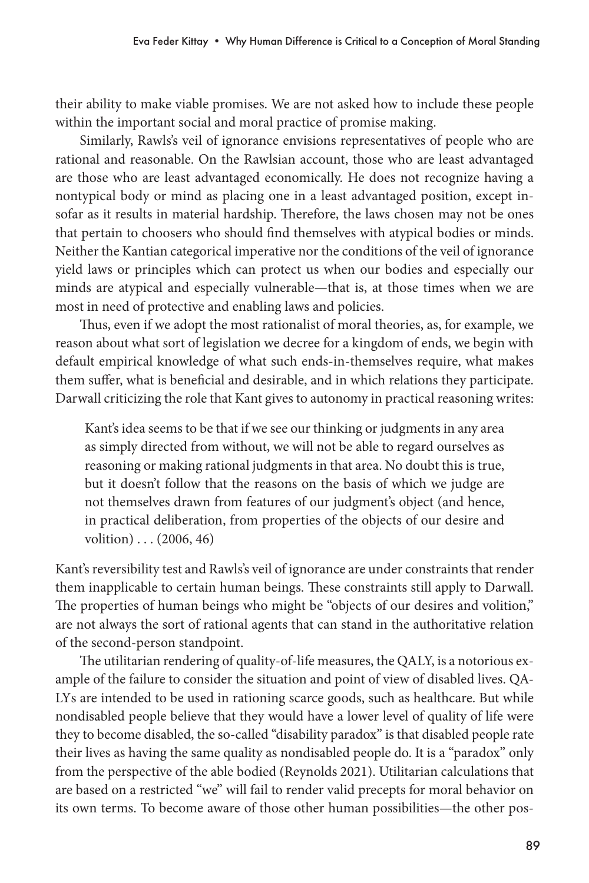their ability to make viable promises. We are not asked how to include these people within the important social and moral practice of promise making.

Similarly, Rawls's veil of ignorance envisions representatives of people who are rational and reasonable. On the Rawlsian account, those who are least advantaged are those who are least advantaged economically. He does not recognize having a nontypical body or mind as placing one in a least advantaged position, except insofar as it results in material hardship. Therefore, the laws chosen may not be ones that pertain to choosers who should find themselves with atypical bodies or minds. Neither the Kantian categorical imperative nor the conditions of the veil of ignorance yield laws or principles which can protect us when our bodies and especially our minds are atypical and especially vulnerable—that is, at those times when we are most in need of protective and enabling laws and policies.

Thus, even if we adopt the most rationalist of moral theories, as, for example, we reason about what sort of legislation we decree for a kingdom of ends, we begin with default empirical knowledge of what such ends-in-themselves require, what makes them suffer, what is beneficial and desirable, and in which relations they participate. Darwall criticizing the role that Kant gives to autonomy in practical reasoning writes:

Kant's idea seems to be that if we see our thinking or judgments in any area as simply directed from without, we will not be able to regard ourselves as reasoning or making rational judgments in that area. No doubt this is true, but it doesn't follow that the reasons on the basis of which we judge are not themselves drawn from features of our judgment's object (and hence, in practical deliberation, from properties of the objects of our desire and volition) . . . (2006, 46)

Kant's reversibility test and Rawls's veil of ignorance are under constraints that render them inapplicable to certain human beings. These constraints still apply to Darwall. The properties of human beings who might be "objects of our desires and volition," are not always the sort of rational agents that can stand in the authoritative relation of the second-person standpoint.

The utilitarian rendering of quality-of-life measures, the QALY, is a notorious example of the failure to consider the situation and point of view of disabled lives. QA-LYs are intended to be used in rationing scarce goods, such as healthcare. But while nondisabled people believe that they would have a lower level of quality of life were they to become disabled, the so-called "disability paradox" is that disabled people rate their lives as having the same quality as nondisabled people do. It is a "paradox" only from the perspective of the able bodied (Reynolds 2021). Utilitarian calculations that are based on a restricted "we" will fail to render valid precepts for moral behavior on its own terms. To become aware of those other human possibilities—the other pos-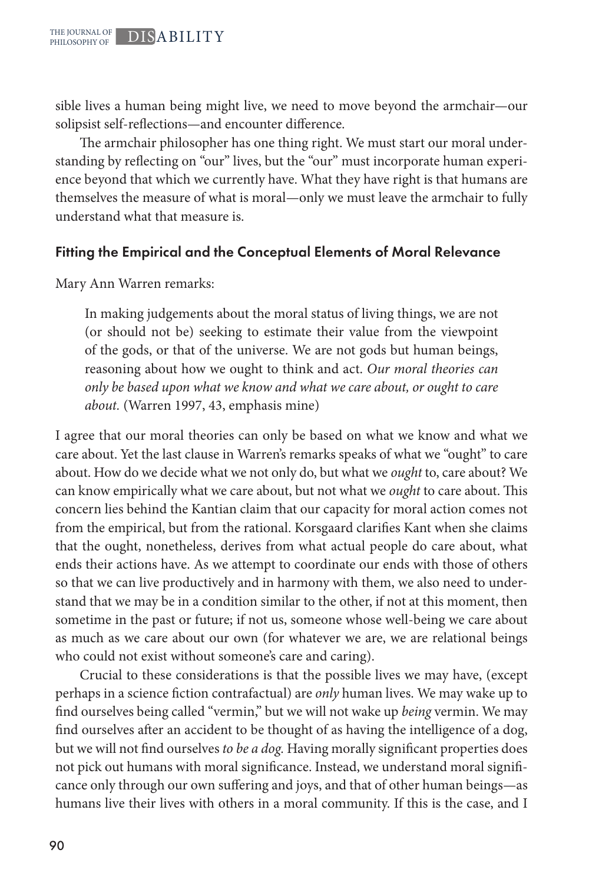sible lives a human being might live, we need to move beyond the armchair—our solipsist self-reflections—and encounter difference.

The armchair philosopher has one thing right. We must start our moral understanding by reflecting on "our" lives, but the "our" must incorporate human experience beyond that which we currently have. What they have right is that humans are themselves the measure of what is moral—only we must leave the armchair to fully understand what that measure is.

#### Fitting the Empirical and the Conceptual Elements of Moral Relevance

Mary Ann Warren remarks:

In making judgements about the moral status of living things, we are not (or should not be) seeking to estimate their value from the viewpoint of the gods, or that of the universe. We are not gods but human beings, reasoning about how we ought to think and act. *Our moral theories can only be based upon what we know and what we care about, or ought to care about.* (Warren 1997, 43, emphasis mine)

I agree that our moral theories can only be based on what we know and what we care about. Yet the last clause in Warren's remarks speaks of what we "ought" to care about. How do we decide what we not only do, but what we *ought* to, care about? We can know empirically what we care about, but not what we *ought* to care about. This concern lies behind the Kantian claim that our capacity for moral action comes not from the empirical, but from the rational. Korsgaard clarifies Kant when she claims that the ought, nonetheless, derives from what actual people do care about, what ends their actions have. As we attempt to coordinate our ends with those of others so that we can live productively and in harmony with them, we also need to understand that we may be in a condition similar to the other, if not at this moment, then sometime in the past or future; if not us, someone whose well-being we care about as much as we care about our own (for whatever we are, we are relational beings who could not exist without someone's care and caring).

Crucial to these considerations is that the possible lives we may have, (except perhaps in a science fiction contrafactual) are *only* human lives. We may wake up to find ourselves being called "vermin," but we will not wake up *being* vermin. We may find ourselves after an accident to be thought of as having the intelligence of a dog, but we will not find ourselves *to be a dog.* Having morally significant properties does not pick out humans with moral significance. Instead, we understand moral significance only through our own suffering and joys, and that of other human beings—as humans live their lives with others in a moral community. If this is the case, and I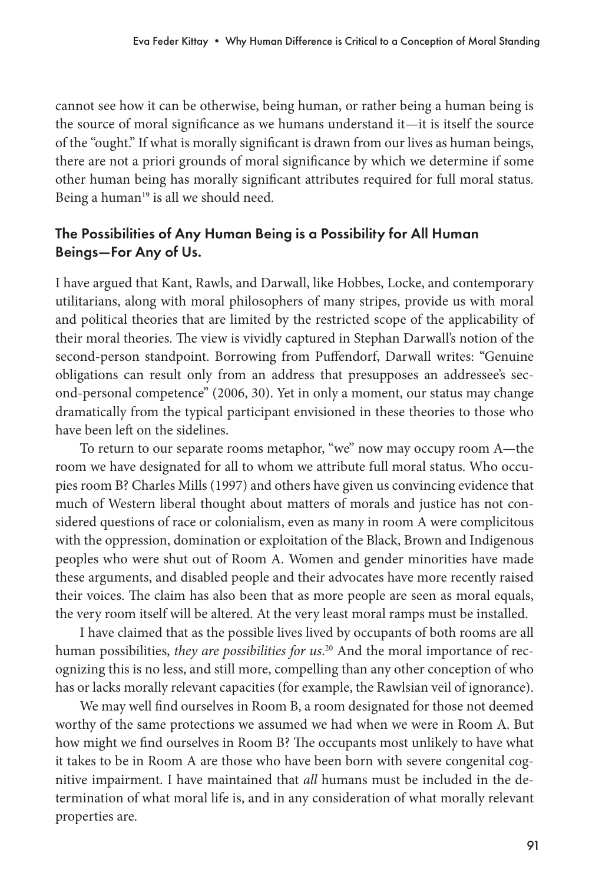cannot see how it can be otherwise, being human, or rather being a human being is the source of moral significance as we humans understand it—it is itself the source of the "ought." If what is morally significant is drawn from our lives as human beings, there are not a priori grounds of moral significance by which we determine if some other human being has morally significant attributes required for full moral status. Being a human<sup>19</sup> is all we should need.

## The Possibilities of Any Human Being is a Possibility for All Human Beings—For Any of Us.

I have argued that Kant, Rawls, and Darwall, like Hobbes, Locke, and contemporary utilitarians, along with moral philosophers of many stripes, provide us with moral and political theories that are limited by the restricted scope of the applicability of their moral theories. The view is vividly captured in Stephan Darwall's notion of the second-person standpoint. Borrowing from Puffendorf, Darwall writes: "Genuine obligations can result only from an address that presupposes an addressee's second-personal competence" (2006, 30). Yet in only a moment, our status may change dramatically from the typical participant envisioned in these theories to those who have been left on the sidelines.

To return to our separate rooms metaphor, "we" now may occupy room A—the room we have designated for all to whom we attribute full moral status. Who occupies room B? Charles Mills (1997) and others have given us convincing evidence that much of Western liberal thought about matters of morals and justice has not considered questions of race or colonialism, even as many in room A were complicitous with the oppression, domination or exploitation of the Black, Brown and Indigenous peoples who were shut out of Room A. Women and gender minorities have made these arguments, and disabled people and their advocates have more recently raised their voices. The claim has also been that as more people are seen as moral equals, the very room itself will be altered. At the very least moral ramps must be installed.

I have claimed that as the possible lives lived by occupants of both rooms are all human possibilities, *they are possibilities for us*. 20 And the moral importance of recognizing this is no less, and still more, compelling than any other conception of who has or lacks morally relevant capacities (for example, the Rawlsian veil of ignorance).

We may well find ourselves in Room B, a room designated for those not deemed worthy of the same protections we assumed we had when we were in Room A. But how might we find ourselves in Room B? The occupants most unlikely to have what it takes to be in Room A are those who have been born with severe congenital cognitive impairment. I have maintained that *all* humans must be included in the determination of what moral life is, and in any consideration of what morally relevant properties are.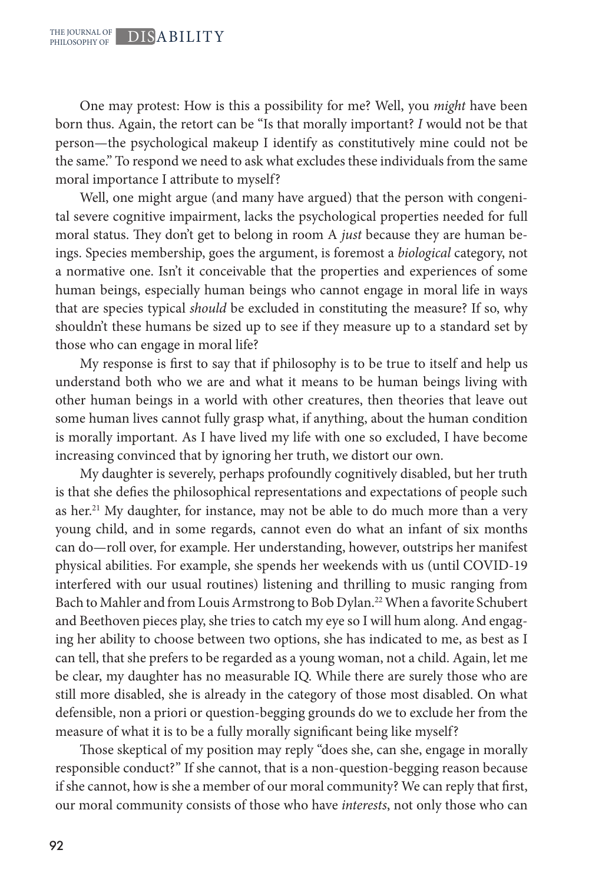One may protest: How is this a possibility for me? Well, you *might* have been born thus. Again, the retort can be "Is that morally important? *I* would not be that person—the psychological makeup I identify as constitutively mine could not be the same." To respond we need to ask what excludes these individuals from the same moral importance I attribute to myself?

Well, one might argue (and many have argued) that the person with congenital severe cognitive impairment, lacks the psychological properties needed for full moral status. They don't get to belong in room A *just* because they are human beings. Species membership, goes the argument, is foremost a *biological* category, not a normative one. Isn't it conceivable that the properties and experiences of some human beings, especially human beings who cannot engage in moral life in ways that are species typical *should* be excluded in constituting the measure? If so, why shouldn't these humans be sized up to see if they measure up to a standard set by those who can engage in moral life?

My response is first to say that if philosophy is to be true to itself and help us understand both who we are and what it means to be human beings living with other human beings in a world with other creatures, then theories that leave out some human lives cannot fully grasp what, if anything, about the human condition is morally important. As I have lived my life with one so excluded, I have become increasing convinced that by ignoring her truth, we distort our own.

My daughter is severely, perhaps profoundly cognitively disabled, but her truth is that she defies the philosophical representations and expectations of people such as her.<sup>21</sup> My daughter, for instance, may not be able to do much more than a very young child, and in some regards, cannot even do what an infant of six months can do—roll over, for example. Her understanding, however, outstrips her manifest physical abilities. For example, she spends her weekends with us (until COVID-19 interfered with our usual routines) listening and thrilling to music ranging from Bach to Mahler and from Louis Armstrong to Bob Dylan.22 When a favorite Schubert and Beethoven pieces play, she tries to catch my eye so I will hum along. And engaging her ability to choose between two options, she has indicated to me, as best as I can tell, that she prefers to be regarded as a young woman, not a child. Again, let me be clear, my daughter has no measurable IQ. While there are surely those who are still more disabled, she is already in the category of those most disabled. On what defensible, non a priori or question-begging grounds do we to exclude her from the measure of what it is to be a fully morally significant being like myself?

Those skeptical of my position may reply "does she, can she, engage in morally responsible conduct?" If she cannot, that is a non-question-begging reason because if she cannot, how is she a member of our moral community? We can reply that first, our moral community consists of those who have *interests*, not only those who can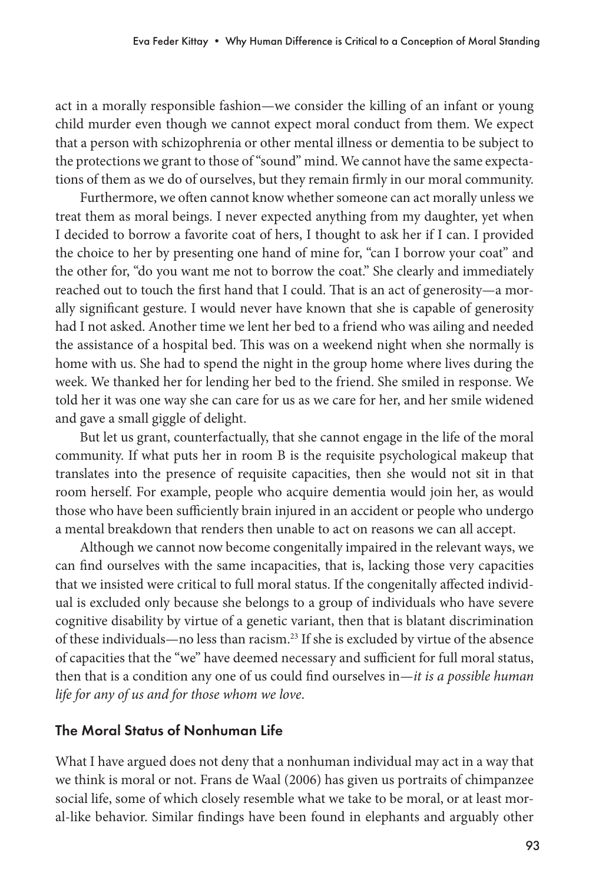act in a morally responsible fashion—we consider the killing of an infant or young child murder even though we cannot expect moral conduct from them. We expect that a person with schizophrenia or other mental illness or dementia to be subject to the protections we grant to those of "sound" mind. We cannot have the same expectations of them as we do of ourselves, but they remain firmly in our moral community.

Furthermore, we often cannot know whether someone can act morally unless we treat them as moral beings. I never expected anything from my daughter, yet when I decided to borrow a favorite coat of hers, I thought to ask her if I can. I provided the choice to her by presenting one hand of mine for, "can I borrow your coat" and the other for, "do you want me not to borrow the coat." She clearly and immediately reached out to touch the first hand that I could. That is an act of generosity—a morally significant gesture. I would never have known that she is capable of generosity had I not asked. Another time we lent her bed to a friend who was ailing and needed the assistance of a hospital bed. This was on a weekend night when she normally is home with us. She had to spend the night in the group home where lives during the week. We thanked her for lending her bed to the friend. She smiled in response. We told her it was one way she can care for us as we care for her, and her smile widened and gave a small giggle of delight.

But let us grant, counterfactually, that she cannot engage in the life of the moral community. If what puts her in room B is the requisite psychological makeup that translates into the presence of requisite capacities, then she would not sit in that room herself. For example, people who acquire dementia would join her, as would those who have been sufficiently brain injured in an accident or people who undergo a mental breakdown that renders then unable to act on reasons we can all accept.

Although we cannot now become congenitally impaired in the relevant ways, we can find ourselves with the same incapacities, that is, lacking those very capacities that we insisted were critical to full moral status. If the congenitally affected individual is excluded only because she belongs to a group of individuals who have severe cognitive disability by virtue of a genetic variant, then that is blatant discrimination of these individuals—no less than racism.23 If she is excluded by virtue of the absence of capacities that the "we" have deemed necessary and sufficient for full moral status, then that is a condition any one of us could find ourselves in—*it is a possible human life for any of us and for those whom we love*.

## The Moral Status of Nonhuman Life

What I have argued does not deny that a nonhuman individual may act in a way that we think is moral or not. Frans de Waal (2006) has given us portraits of chimpanzee social life, some of which closely resemble what we take to be moral, or at least moral-like behavior. Similar findings have been found in elephants and arguably other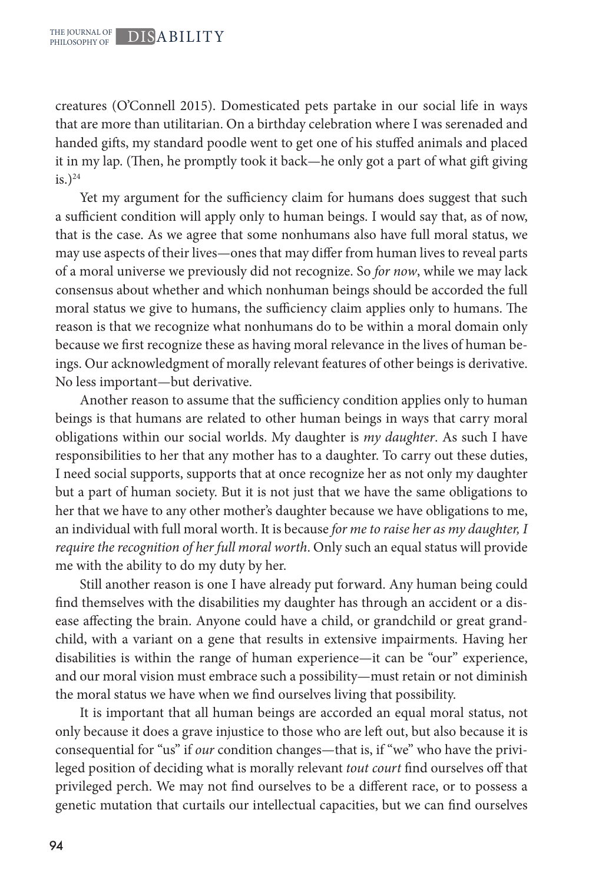creatures (O'Connell 2015). Domesticated pets partake in our social life in ways that are more than utilitarian. On a birthday celebration where I was serenaded and handed gifts, my standard poodle went to get one of his stuffed animals and placed it in my lap. (Then, he promptly took it back—he only got a part of what gift giving  $is.)<sup>24</sup>$ 

Yet my argument for the sufficiency claim for humans does suggest that such a sufficient condition will apply only to human beings. I would say that, as of now, that is the case. As we agree that some nonhumans also have full moral status, we may use aspects of their lives—ones that may differ from human lives to reveal parts of a moral universe we previously did not recognize. So *for now*, while we may lack consensus about whether and which nonhuman beings should be accorded the full moral status we give to humans, the sufficiency claim applies only to humans. The reason is that we recognize what nonhumans do to be within a moral domain only because we first recognize these as having moral relevance in the lives of human beings. Our acknowledgment of morally relevant features of other beings is derivative. No less important—but derivative.

Another reason to assume that the sufficiency condition applies only to human beings is that humans are related to other human beings in ways that carry moral obligations within our social worlds. My daughter is *my daughter*. As such I have responsibilities to her that any mother has to a daughter. To carry out these duties, I need social supports, supports that at once recognize her as not only my daughter but a part of human society. But it is not just that we have the same obligations to her that we have to any other mother's daughter because we have obligations to me, an individual with full moral worth. It is because *for me to raise her as my daughter, I require the recognition of her full moral worth*. Only such an equal status will provide me with the ability to do my duty by her.

Still another reason is one I have already put forward. Any human being could find themselves with the disabilities my daughter has through an accident or a disease affecting the brain. Anyone could have a child, or grandchild or great grandchild, with a variant on a gene that results in extensive impairments. Having her disabilities is within the range of human experience—it can be "our" experience, and our moral vision must embrace such a possibility—must retain or not diminish the moral status we have when we find ourselves living that possibility.

It is important that all human beings are accorded an equal moral status, not only because it does a grave injustice to those who are left out, but also because it is consequential for "us" if *our* condition changes—that is, if "we" who have the privileged position of deciding what is morally relevant *tout court* find ourselves off that privileged perch. We may not find ourselves to be a different race, or to possess a genetic mutation that curtails our intellectual capacities, but we can find ourselves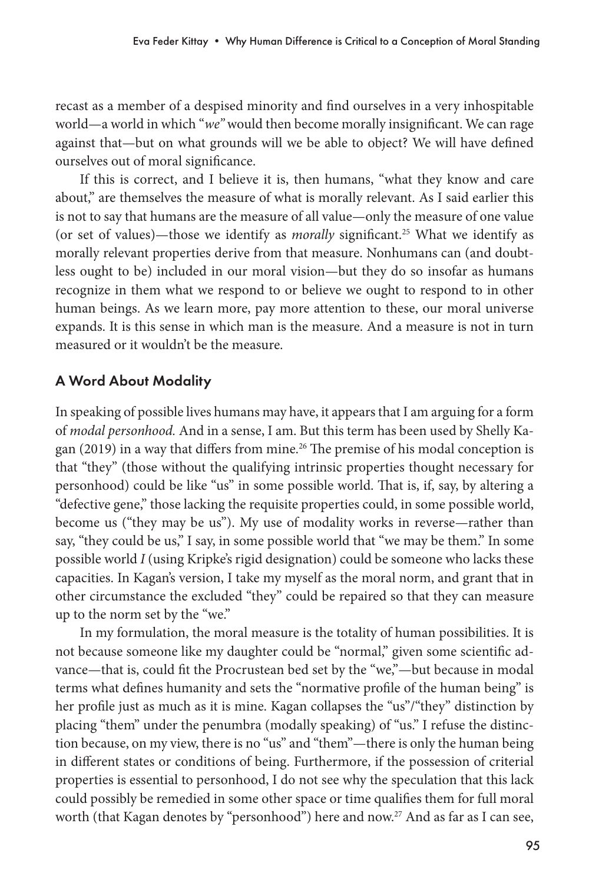recast as a member of a despised minority and find ourselves in a very inhospitable world—a world in which "*we"* would then become morally insignificant. We can rage against that—but on what grounds will we be able to object? We will have defined ourselves out of moral significance.

If this is correct, and I believe it is, then humans, "what they know and care about," are themselves the measure of what is morally relevant. As I said earlier this is not to say that humans are the measure of all value—only the measure of one value (or set of values)—those we identify as *morally* significant.25 What we identify as morally relevant properties derive from that measure. Nonhumans can (and doubtless ought to be) included in our moral vision—but they do so insofar as humans recognize in them what we respond to or believe we ought to respond to in other human beings. As we learn more, pay more attention to these, our moral universe expands. It is this sense in which man is the measure. And a measure is not in turn measured or it wouldn't be the measure.

## A Word About Modality

In speaking of possible lives humans may have, it appears that I am arguing for a form of *modal personhood.* And in a sense, I am. But this term has been used by Shelly Kagan (2019) in a way that differs from mine.<sup>26</sup> The premise of his modal conception is that "they" (those without the qualifying intrinsic properties thought necessary for personhood) could be like "us" in some possible world. That is, if, say, by altering a "defective gene," those lacking the requisite properties could, in some possible world, become us ("they may be us"). My use of modality works in reverse—rather than say, "they could be us," I say, in some possible world that "we may be them." In some possible world *I* (using Kripke's rigid designation) could be someone who lacks these capacities. In Kagan's version, I take my myself as the moral norm, and grant that in other circumstance the excluded "they" could be repaired so that they can measure up to the norm set by the "we."

In my formulation, the moral measure is the totality of human possibilities. It is not because someone like my daughter could be "normal," given some scientific advance—that is, could fit the Procrustean bed set by the "we,"—but because in modal terms what defines humanity and sets the "normative profile of the human being" is her profile just as much as it is mine. Kagan collapses the "us"/"they" distinction by placing "them" under the penumbra (modally speaking) of "us." I refuse the distinction because, on my view, there is no "us" and "them"—there is only the human being in different states or conditions of being. Furthermore, if the possession of criterial properties is essential to personhood, I do not see why the speculation that this lack could possibly be remedied in some other space or time qualifies them for full moral worth (that Kagan denotes by "personhood") here and now.<sup>27</sup> And as far as I can see,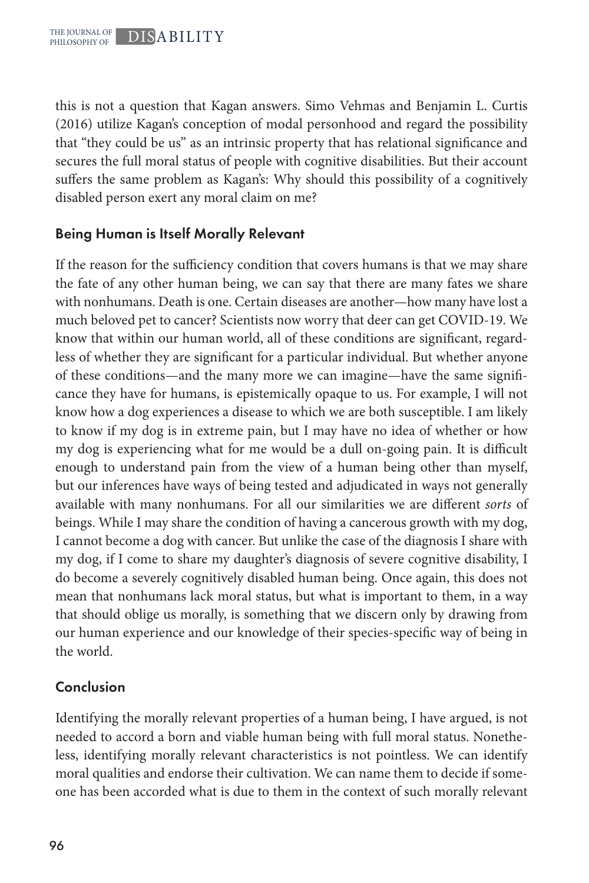this is not a question that Kagan answers. Simo Vehmas and Benjamin L. Curtis (2016) utilize Kagan's conception of modal personhood and regard the possibility that "they could be us" as an intrinsic property that has relational significance and secures the full moral status of people with cognitive disabilities. But their account suffers the same problem as Kagan's: Why should this possibility of a cognitively disabled person exert any moral claim on me?

## Being Human is Itself Morally Relevant

If the reason for the sufficiency condition that covers humans is that we may share the fate of any other human being, we can say that there are many fates we share with nonhumans. Death is one. Certain diseases are another—how many have lost a much beloved pet to cancer? Scientists now worry that deer can get COVID-19. We know that within our human world, all of these conditions are significant, regardless of whether they are significant for a particular individual. But whether anyone of these conditions—and the many more we can imagine—have the same significance they have for humans, is epistemically opaque to us. For example, I will not know how a dog experiences a disease to which we are both susceptible. I am likely to know if my dog is in extreme pain, but I may have no idea of whether or how my dog is experiencing what for me would be a dull on-going pain. It is difficult enough to understand pain from the view of a human being other than myself, but our inferences have ways of being tested and adjudicated in ways not generally available with many nonhumans. For all our similarities we are different *sorts* of beings. While I may share the condition of having a cancerous growth with my dog, I cannot become a dog with cancer. But unlike the case of the diagnosis I share with my dog, if I come to share my daughter's diagnosis of severe cognitive disability, I do become a severely cognitively disabled human being. Once again, this does not mean that nonhumans lack moral status, but what is important to them, in a way that should oblige us morally, is something that we discern only by drawing from our human experience and our knowledge of their species-specific way of being in the world.

## Conclusion

Identifying the morally relevant properties of a human being, I have argued, is not needed to accord a born and viable human being with full moral status. Nonetheless, identifying morally relevant characteristics is not pointless. We can identify moral qualities and endorse their cultivation. We can name them to decide if someone has been accorded what is due to them in the context of such morally relevant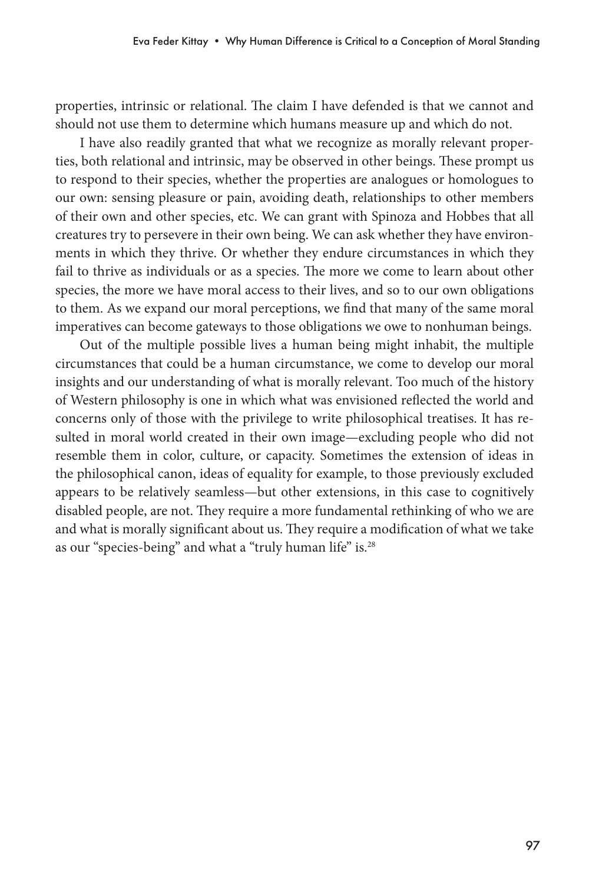properties, intrinsic or relational. The claim I have defended is that we cannot and should not use them to determine which humans measure up and which do not.

I have also readily granted that what we recognize as morally relevant properties, both relational and intrinsic, may be observed in other beings. These prompt us to respond to their species, whether the properties are analogues or homologues to our own: sensing pleasure or pain, avoiding death, relationships to other members of their own and other species, etc. We can grant with Spinoza and Hobbes that all creatures try to persevere in their own being. We can ask whether they have environments in which they thrive. Or whether they endure circumstances in which they fail to thrive as individuals or as a species. The more we come to learn about other species, the more we have moral access to their lives, and so to our own obligations to them. As we expand our moral perceptions, we find that many of the same moral imperatives can become gateways to those obligations we owe to nonhuman beings.

Out of the multiple possible lives a human being might inhabit, the multiple circumstances that could be a human circumstance, we come to develop our moral insights and our understanding of what is morally relevant. Too much of the history of Western philosophy is one in which what was envisioned reflected the world and concerns only of those with the privilege to write philosophical treatises. It has resulted in moral world created in their own image—excluding people who did not resemble them in color, culture, or capacity. Sometimes the extension of ideas in the philosophical canon, ideas of equality for example, to those previously excluded appears to be relatively seamless—but other extensions, in this case to cognitively disabled people, are not. They require a more fundamental rethinking of who we are and what is morally significant about us. They require a modification of what we take as our "species-being" and what a "truly human life" is.<sup>28</sup>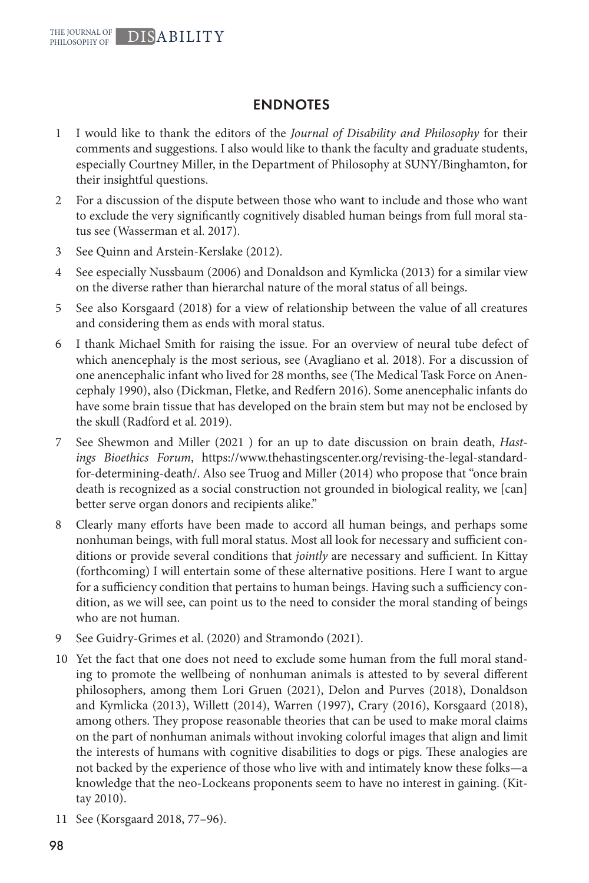#### ENDNOTES

- 1 I would like to thank the editors of the *Journal of Disability and Philosophy* for their comments and suggestions. I also would like to thank the faculty and graduate students, especially Courtney Miller, in the Department of Philosophy at SUNY/Binghamton, for their insightful questions.
- 2 For a discussion of the dispute between those who want to include and those who want to exclude the very significantly cognitively disabled human beings from full moral status see (Wasserman et al. 2017).
- 3 See Quinn and Arstein-Kerslake (2012).
- 4 See especially Nussbaum (2006) and Donaldson and Kymlicka (2013) for a similar view on the diverse rather than hierarchal nature of the moral status of all beings.
- 5 See also Korsgaard (2018) for a view of relationship between the value of all creatures and considering them as ends with moral status.
- 6 I thank Michael Smith for raising the issue. For an overview of neural tube defect of which anencephaly is the most serious, see (Avagliano et al. 2018). For a discussion of one anencephalic infant who lived for 28 months, see (The Medical Task Force on Anencephaly 1990), also (Dickman, Fletke, and Redfern 2016). Some anencephalic infants do have some brain tissue that has developed on the brain stem but may not be enclosed by the skull (Radford et al. 2019).
- 7 See Shewmon and Miller (2021 ) for an up to date discussion on brain death, *Hastings Bioethics Forum*, https://www.thehastingscenter.org/revising-the-legal-standardfor-determining-death/. Also see Truog and Miller (2014) who propose that "once brain death is recognized as a social construction not grounded in biological reality, we [can] better serve organ donors and recipients alike."
- 8 Clearly many efforts have been made to accord all human beings, and perhaps some nonhuman beings, with full moral status. Most all look for necessary and sufficient conditions or provide several conditions that *jointly* are necessary and sufficient. In Kittay (forthcoming) I will entertain some of these alternative positions. Here I want to argue for a sufficiency condition that pertains to human beings. Having such a sufficiency condition, as we will see, can point us to the need to consider the moral standing of beings who are not human.
- 9 See Guidry‐Grimes et al. (2020) and Stramondo (2021).
- 10 Yet the fact that one does not need to exclude some human from the full moral standing to promote the wellbeing of nonhuman animals is attested to by several different philosophers, among them Lori Gruen (2021), Delon and Purves (2018), Donaldson and Kymlicka (2013), Willett (2014), Warren (1997), Crary (2016), Korsgaard (2018), among others. They propose reasonable theories that can be used to make moral claims on the part of nonhuman animals without invoking colorful images that align and limit the interests of humans with cognitive disabilities to dogs or pigs. These analogies are not backed by the experience of those who live with and intimately know these folks—a knowledge that the neo-Lockeans proponents seem to have no interest in gaining. (Kittay 2010).
- 11 See (Korsgaard 2018, 77–96).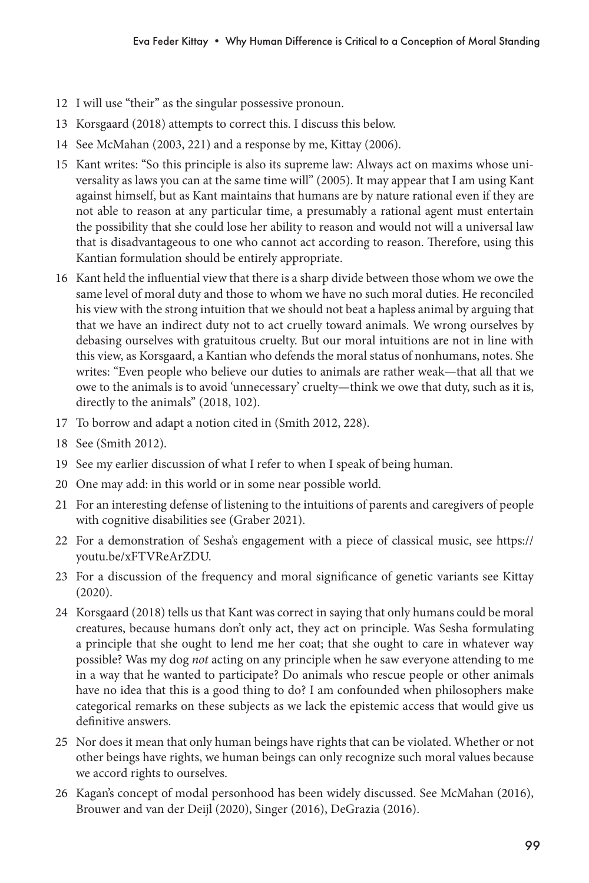- 12 I will use "their" as the singular possessive pronoun.
- 13 Korsgaard (2018) attempts to correct this. I discuss this below.
- 14 See McMahan (2003, 221) and a response by me, Kittay (2006).
- 15 Kant writes: "So this principle is also its supreme law: Always act on maxims whose universality as laws you can at the same time will" (2005). It may appear that I am using Kant against himself, but as Kant maintains that humans are by nature rational even if they are not able to reason at any particular time, a presumably a rational agent must entertain the possibility that she could lose her ability to reason and would not will a universal law that is disadvantageous to one who cannot act according to reason. Therefore, using this Kantian formulation should be entirely appropriate.
- 16 Kant held the influential view that there is a sharp divide between those whom we owe the same level of moral duty and those to whom we have no such moral duties. He reconciled his view with the strong intuition that we should not beat a hapless animal by arguing that that we have an indirect duty not to act cruelly toward animals. We wrong ourselves by debasing ourselves with gratuitous cruelty. But our moral intuitions are not in line with this view, as Korsgaard, a Kantian who defends the moral status of nonhumans, notes. She writes: "Even people who believe our duties to animals are rather weak—that all that we owe to the animals is to avoid 'unnecessary' cruelty—think we owe that duty, such as it is, directly to the animals" (2018, 102).
- 17 To borrow and adapt a notion cited in (Smith 2012, 228).
- 18 See (Smith 2012).
- 19 See my earlier discussion of what I refer to when I speak of being human.
- 20 One may add: in this world or in some near possible world.
- 21 For an interesting defense of listening to the intuitions of parents and caregivers of people with cognitive disabilities see (Graber 2021).
- 22 For a demonstration of Sesha's engagement with a piece of classical music, see https:// youtu.be/xFTVReArZDU.
- 23 For a discussion of the frequency and moral significance of genetic variants see Kittay (2020).
- 24 Korsgaard (2018) tells us that Kant was correct in saying that only humans could be moral creatures, because humans don't only act, they act on principle. Was Sesha formulating a principle that she ought to lend me her coat; that she ought to care in whatever way possible? Was my dog *not* acting on any principle when he saw everyone attending to me in a way that he wanted to participate? Do animals who rescue people or other animals have no idea that this is a good thing to do? I am confounded when philosophers make categorical remarks on these subjects as we lack the epistemic access that would give us definitive answers.
- 25 Nor does it mean that only human beings have rights that can be violated. Whether or not other beings have rights, we human beings can only recognize such moral values because we accord rights to ourselves.
- 26 Kagan's concept of modal personhood has been widely discussed. See McMahan (2016), Brouwer and van der Deijl (2020), Singer (2016), DeGrazia (2016).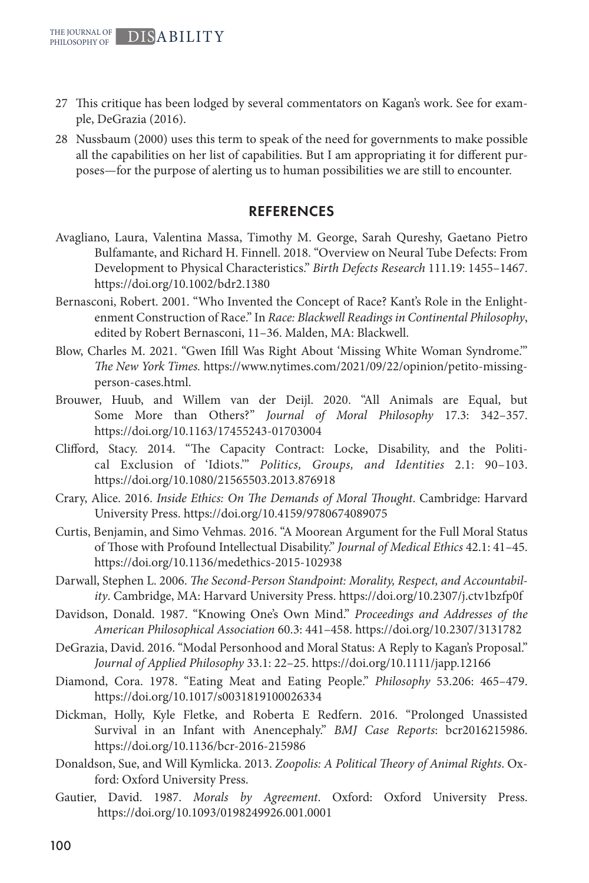- 27 This critique has been lodged by several commentators on Kagan's work. See for example, DeGrazia (2016).
- 28 Nussbaum (2000) uses this term to speak of the need for governments to make possible all the capabilities on her list of capabilities. But I am appropriating it for different purposes—for the purpose of alerting us to human possibilities we are still to encounter.

#### **REFERENCES**

- Avagliano, Laura, Valentina Massa, Timothy M. George, Sarah Qureshy, Gaetano Pietro Bulfamante, and Richard H. Finnell. 2018. "Overview on Neural Tube Defects: From Development to Physical Characteristics." *Birth Defects Research* 111.19: 1455–1467. https://doi.org/10.1002/bdr2.1380
- Bernasconi, Robert. 2001. "Who Invented the Concept of Race? Kant's Role in the Enlightenment Construction of Race." In *Race: Blackwell Readings in Continental Philosophy*, edited by Robert Bernasconi, 11–36. Malden, MA: Blackwell.
- Blow, Charles M. 2021. "Gwen Ifill Was Right About 'Missing White Woman Syndrome.'" *The New York Times.* https://www.nytimes.com/2021/09/22/opinion/petito-missingperson-cases.html.
- Brouwer, Huub, and Willem van der Deijl. 2020. "All Animals are Equal, but Some More than Others?" *Journal of Moral Philosophy* 17.3: 342–357. https://doi.org/10.1163/17455243-01703004
- Clifford, Stacy. 2014. "The Capacity Contract: Locke, Disability, and the Political Exclusion of 'Idiots.'" *Politics, Groups, and Identities* 2.1: 90–103. https://doi.org/10.1080/21565503.2013.876918
- Crary, Alice. 2016. *Inside Ethics: On The Demands of Moral Thought*. Cambridge: Harvard University Press. https://doi.org/10.4159/9780674089075
- Curtis, Benjamin, and Simo Vehmas. 2016. "A Moorean Argument for the Full Moral Status of Those with Profound Intellectual Disability." *Journal of Medical Ethics* 42.1: 41–45. https://doi.org/10.1136/medethics-2015-102938
- Darwall, Stephen L. 2006. *The Second-Person Standpoint: Morality, Respect, and Accountability*. Cambridge, MA: Harvard University Press. https://doi.org/10.2307/j.ctv1bzfp0f
- Davidson, Donald. 1987. "Knowing One's Own Mind." *Proceedings and Addresses of the American Philosophical Association* 60.3: 441–458. https://doi.org/10.2307/3131782
- DeGrazia, David. 2016. "Modal Personhood and Moral Status: A Reply to Kagan's Proposal." *Journal of Applied Philosophy* 33.1: 22–25. https://doi.org/10.1111/japp.12166
- Diamond, Cora. 1978. "Eating Meat and Eating People." *Philosophy* 53.206: 465–479. https://doi.org/10.1017/s0031819100026334
- Dickman, Holly, Kyle Fletke, and Roberta E Redfern. 2016. "Prolonged Unassisted Survival in an Infant with Anencephaly." *BMJ Case Reports*: bcr2016215986. https://doi.org/10.1136/bcr-2016-215986
- Donaldson, Sue, and Will Kymlicka. 2013. *Zoopolis: A Political Theory of Animal Rights*. Oxford: Oxford University Press.
- Gautier, David. 1987. *Morals by Agreement*. Oxford: Oxford University Press. https://doi.org/10.1093/0198249926.001.0001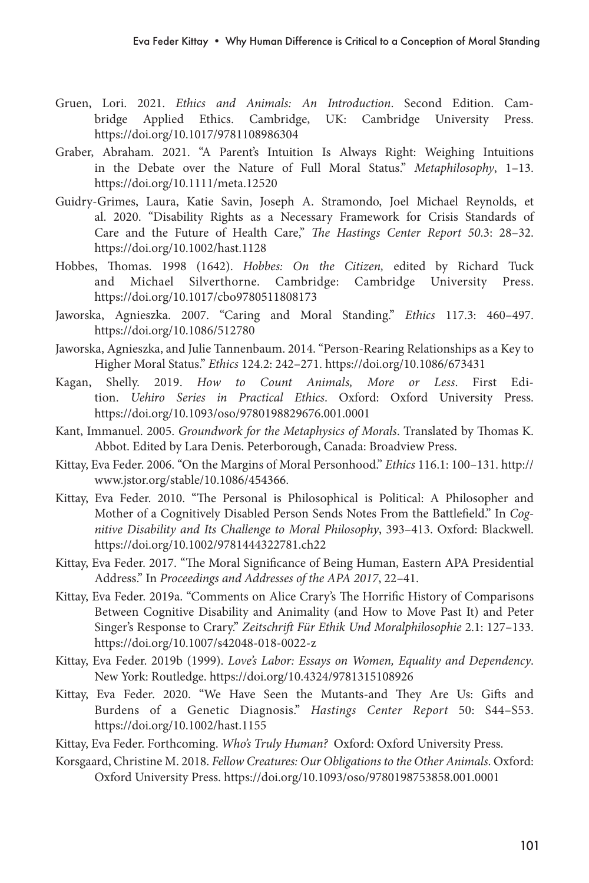- Gruen, Lori. 2021. *Ethics and Animals: An Introduction*. Second Edition. Cambridge Applied Ethics. Cambridge, UK: Cambridge University Press. https://doi.org/10.1017/9781108986304
- Graber, Abraham. 2021. "A Parent's Intuition Is Always Right: Weighing Intuitions in the Debate over the Nature of Full Moral Status." *Metaphilosophy*, 1–13. https://doi.org/10.1111/meta.12520
- Guidry‐Grimes, Laura, Katie Savin, Joseph A. Stramondo, Joel Michael Reynolds, et al. 2020. "Disability Rights as a Necessary Framework for Crisis Standards of Care and the Future of Health Care," *The Hastings Center Report 50*.3: 28–32. https://doi.org/10.1002/hast.1128
- Hobbes, Thomas. 1998 (1642). *Hobbes: On the Citizen,* edited by Richard Tuck and Michael Silverthorne. Cambridge: Cambridge University Press. https://doi.org/10.1017/cbo9780511808173
- Jaworska, Agnieszka. 2007. "Caring and Moral Standing." *Ethics* 117.3: 460–497. https://doi.org/10.1086/512780
- Jaworska, Agnieszka, and Julie Tannenbaum. 2014. "Person-Rearing Relationships as a Key to Higher Moral Status." *Ethics* 124.2: 242–271. https://doi.org/10.1086/673431
- Kagan, Shelly. 2019. *How to Count Animals, More or Less*. First Edition. *Uehiro Series in Practical Ethics*. Oxford: Oxford University Press. https://doi.org/10.1093/oso/9780198829676.001.0001
- Kant, Immanuel. 2005. *Groundwork for the Metaphysics of Morals*. Translated by Thomas K. Abbot. Edited by Lara Denis. Peterborough, Canada: Broadview Press.
- Kittay, Eva Feder. 2006. "On the Margins of Moral Personhood." *Ethics* 116.1: 100–131. http:// www.jstor.org/stable/10.1086/454366.
- Kittay, Eva Feder. 2010. "The Personal is Philosophical is Political: A Philosopher and Mother of a Cognitively Disabled Person Sends Notes From the Battlefield." In *Cognitive Disability and Its Challenge to Moral Philosophy*, 393–413. Oxford: Blackwell. https://doi.org/10.1002/9781444322781.ch22
- Kittay, Eva Feder. 2017. "The Moral Significance of Being Human, Eastern APA Presidential Address." In *Proceedings and Addresses of the APA 2017*, 22–41.
- Kittay, Eva Feder. 2019a. "Comments on Alice Crary's The Horrific History of Comparisons Between Cognitive Disability and Animality (and How to Move Past It) and Peter Singer's Response to Crary." *Zeitschrift Für Ethik Und Moralphilosophie* 2.1: 127–133. https://doi.org/10.1007/s42048-018-0022-z
- Kittay, Eva Feder. 2019b (1999). *Love's Labor: Essays on Women, Equality and Dependency*. New York: Routledge. https://doi.org/10.4324/9781315108926
- Kittay, Eva Feder. 2020. "We Have Seen the Mutants-and They Are Us: Gifts and Burdens of a Genetic Diagnosis." *Hastings Center Report* 50: S44–S53. https://doi.org/10.1002/hast.1155
- Kittay, Eva Feder. Forthcoming. *Who's Truly Human?* Oxford: Oxford University Press.
- Korsgaard, Christine M. 2018. *Fellow Creatures: Our Obligations to the Other Animals*. Oxford: Oxford University Press. https://doi.org/10.1093/oso/9780198753858.001.0001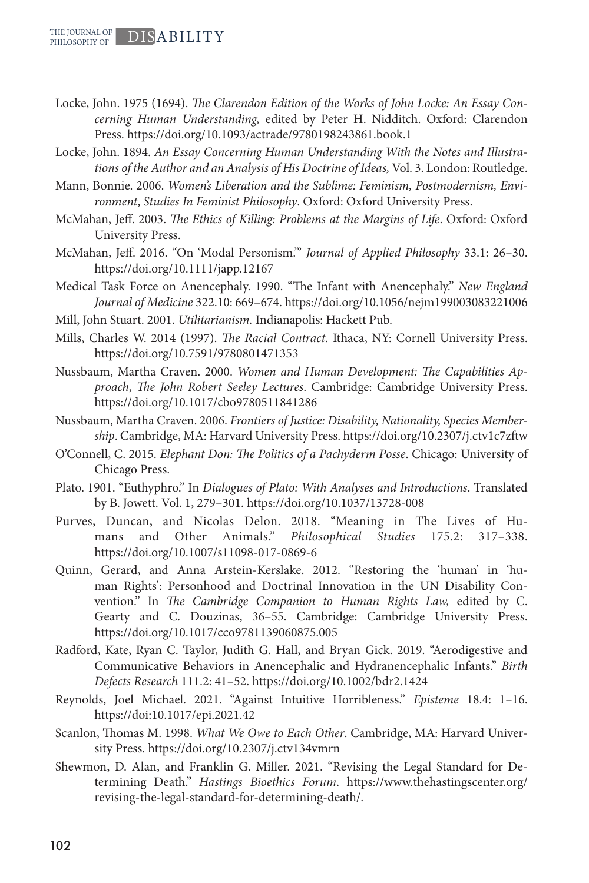- Locke, John. 1975 (1694). *The Clarendon Edition of the Works of John Locke: An Essay Concerning Human Understanding,* edited by Peter H. Nidditch. Oxford: Clarendon Press. https://doi.org/10.1093/actrade/9780198243861.book.1
- Locke, John. 1894. *An Essay Concerning Human Understanding With the Notes and Illustrations of the Author and an Analysis of His Doctrine of Ideas,* Vol. 3. London: Routledge.
- Mann, Bonnie. 2006. *Women's Liberation and the Sublime: Feminism, Postmodernism, Environment*, *Studies In Feminist Philosophy*. Oxford: Oxford University Press.
- McMahan, Jeff. 2003. *The Ethics of Killing: Problems at the Margins of Life*. Oxford: Oxford University Press.
- McMahan, Jeff. 2016. "On 'Modal Personism.'" *Journal of Applied Philosophy* 33.1: 26–30. https://doi.org/10.1111/japp.12167
- Medical Task Force on Anencephaly. 1990. "The Infant with Anencephaly." *New England Journal of Medicine* 322.10: 669–674. https://doi.org/10.1056/nejm199003083221006
- Mill, John Stuart. 2001. *Utilitarianism.* Indianapolis: Hackett Pub.
- Mills, Charles W. 2014 (1997). *The Racial Contract*. Ithaca, NY: Cornell University Press. https://doi.org/10.7591/9780801471353
- Nussbaum, Martha Craven. 2000. *Women and Human Development: THe Capabilities Approach*, *The John Robert Seeley Lectures*. Cambridge: Cambridge University Press. https://doi.org/10.1017/cbo9780511841286
- Nussbaum, Martha Craven. 2006. *Frontiers of Justice: Disability, Nationality, Species Membership*. Cambridge, MA: Harvard University Press. https://doi.org/10.2307/j.ctv1c7zftw
- O'Connell, C. 2015. *Elephant Don: The Politics of a Pachyderm Posse*. Chicago: University of Chicago Press.
- Plato. 1901. "Euthyphro." In *Dialogues of Plato: With Analyses and Introductions*. Translated by B. Jowett. Vol. 1, 279–301. https://doi.org/10.1037/13728-008
- Purves, Duncan, and Nicolas Delon. 2018. "Meaning in The Lives of Humans and Other Animals." *Philosophical Studies* 175.2: 317–338. https://doi.org/10.1007/s11098-017-0869-6
- Quinn, Gerard, and Anna Arstein-Kerslake. 2012. "Restoring the 'human' in 'human Rights': Personhood and Doctrinal Innovation in the UN Disability Convention." In *The Cambridge Companion to Human Rights Law,* edited by C. Gearty and C. Douzinas, 36–55. Cambridge: Cambridge University Press. https://doi.org/10.1017/cco9781139060875.005
- Radford, Kate, Ryan C. Taylor, Judith G. Hall, and Bryan Gick. 2019. "Aerodigestive and Communicative Behaviors in Anencephalic and Hydranencephalic Infants." *Birth Defects Research* 111.2: 41–52. https://doi.org/10.1002/bdr2.1424
- Reynolds, Joel Michael. 2021. "Against Intuitive Horribleness." *Episteme* 18.4: 1–16. https://doi:10.1017/epi.2021.42
- Scanlon, Thomas M. 1998. *What We Owe to Each Other*. Cambridge, MA: Harvard University Press. https://doi.org/10.2307/j.ctv134vmrn
- Shewmon, D. Alan, and Franklin G. Miller. 2021. "Revising the Legal Standard for Determining Death." *Hastings Bioethics Forum*. https://www.thehastingscenter.org/ revising-the-legal-standard-for-determining-death/.